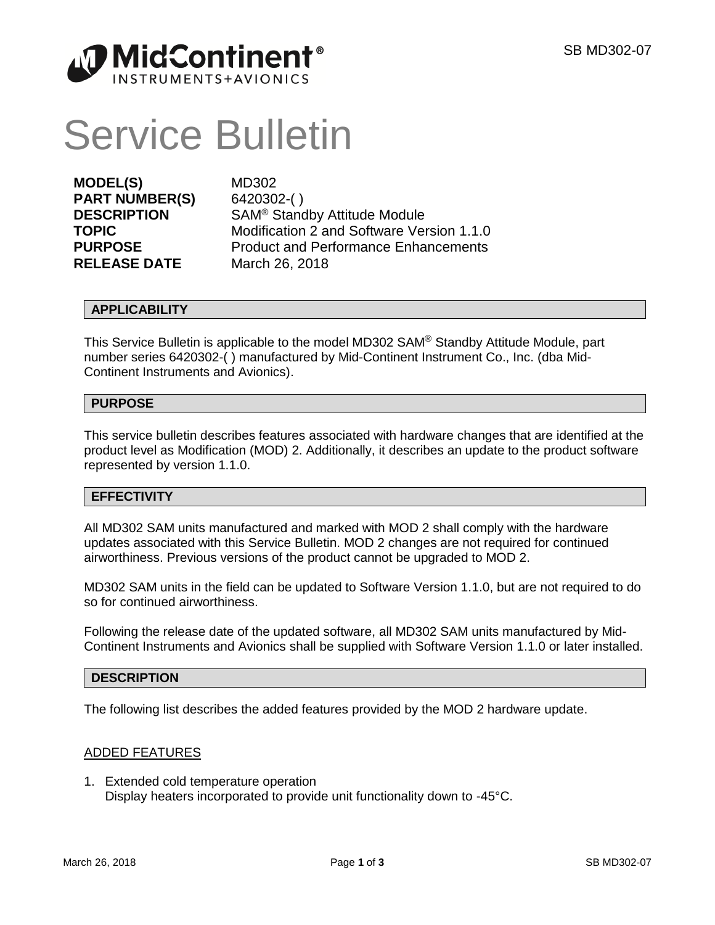

# Service Bulletin

**MODEL(S)** MD302 **PART NUMBER(S)** 6420302-( ) **RELEASE DATE** March 26, 2018

**DESCRIPTION** SAM<sup>®</sup> Standby Attitude Module **TOPIC** Modification 2 and Software Version 1.1.0 **PURPOSE** Product and Performance Enhancements

# **APPLICABILITY**

This Service Bulletin is applicable to the model MD302 SAM® Standby Attitude Module, part number series 6420302-( ) manufactured by Mid-Continent Instrument Co., Inc. (dba Mid-Continent Instruments and Avionics).

# **PURPOSE**

This service bulletin describes features associated with hardware changes that are identified at the product level as Modification (MOD) 2. Additionally, it describes an update to the product software represented by version 1.1.0.

## **EFFECTIVITY**

All MD302 SAM units manufactured and marked with MOD 2 shall comply with the hardware updates associated with this Service Bulletin. MOD 2 changes are not required for continued airworthiness. Previous versions of the product cannot be upgraded to MOD 2.

MD302 SAM units in the field can be updated to Software Version 1.1.0, but are not required to do so for continued airworthiness.

Following the release date of the updated software, all MD302 SAM units manufactured by Mid-Continent Instruments and Avionics shall be supplied with Software Version 1.1.0 or later installed.

## **DESCRIPTION**

The following list describes the added features provided by the MOD 2 hardware update.

## ADDED FEATURES

1. Extended cold temperature operation Display heaters incorporated to provide unit functionality down to -45°C.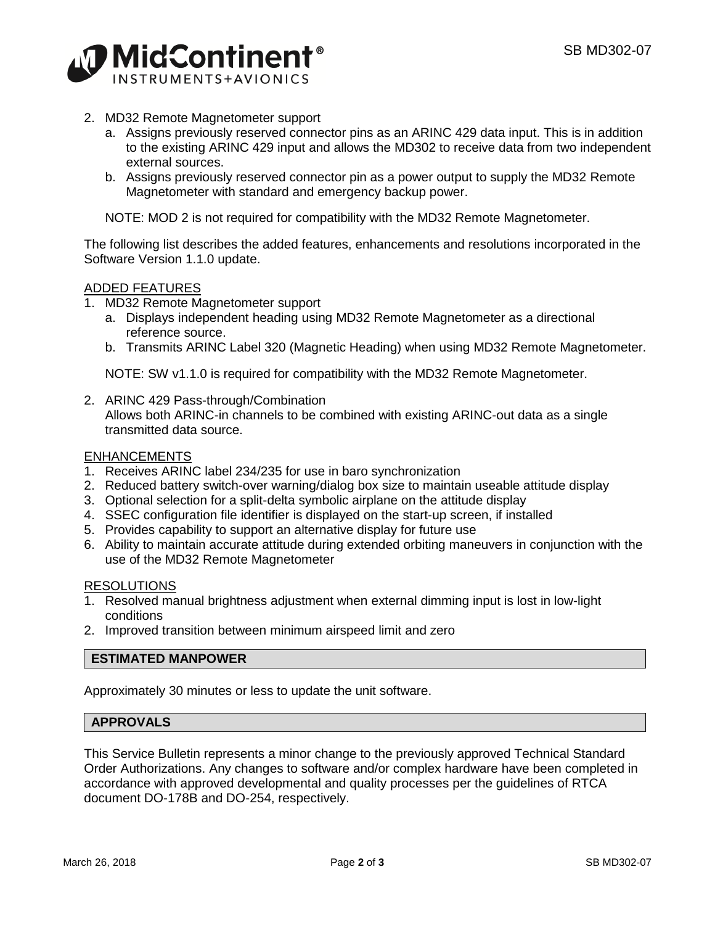

- 2. MD32 Remote Magnetometer support
	- a. Assigns previously reserved connector pins as an ARINC 429 data input. This is in addition to the existing ARINC 429 input and allows the MD302 to receive data from two independent external sources.
	- b. Assigns previously reserved connector pin as a power output to supply the MD32 Remote Magnetometer with standard and emergency backup power.

NOTE: MOD 2 is not required for compatibility with the MD32 Remote Magnetometer.

The following list describes the added features, enhancements and resolutions incorporated in the Software Version 1.1.0 update.

# ADDED FEATURES

- 1. MD32 Remote Magnetometer support
	- a. Displays independent heading using MD32 Remote Magnetometer as a directional reference source.
	- b. Transmits ARINC Label 320 (Magnetic Heading) when using MD32 Remote Magnetometer.

NOTE: SW v1.1.0 is required for compatibility with the MD32 Remote Magnetometer.

2. ARINC 429 Pass-through/Combination Allows both ARINC-in channels to be combined with existing ARINC-out data as a single transmitted data source.

#### ENHANCEMENTS

- 1. Receives ARINC label 234/235 for use in baro synchronization
- 2. Reduced battery switch-over warning/dialog box size to maintain useable attitude display
- 3. Optional selection for a split-delta symbolic airplane on the attitude display
- 4. SSEC configuration file identifier is displayed on the start-up screen, if installed
- 5. Provides capability to support an alternative display for future use
- 6. Ability to maintain accurate attitude during extended orbiting maneuvers in conjunction with the use of the MD32 Remote Magnetometer

#### RESOLUTIONS

- 1. Resolved manual brightness adjustment when external dimming input is lost in low-light conditions
- 2. Improved transition between minimum airspeed limit and zero

## **ESTIMATED MANPOWER**

Approximately 30 minutes or less to update the unit software.

## **APPROVALS**

This Service Bulletin represents a minor change to the previously approved Technical Standard Order Authorizations. Any changes to software and/or complex hardware have been completed in accordance with approved developmental and quality processes per the guidelines of RTCA document DO-178B and DO-254, respectively.